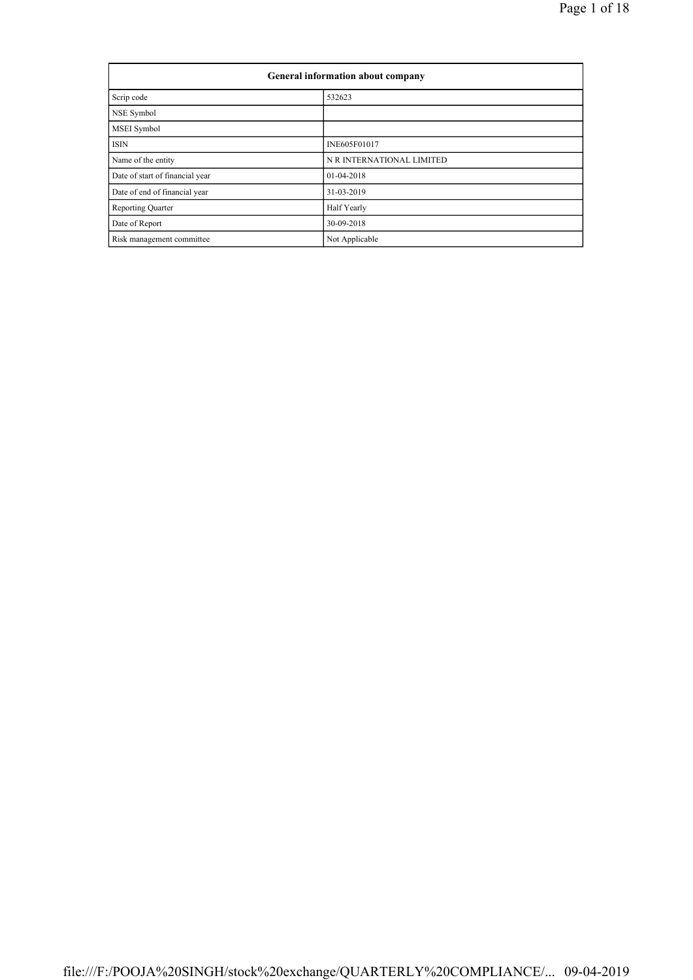| General information about company |                           |  |  |  |  |
|-----------------------------------|---------------------------|--|--|--|--|
| Scrip code                        | 532623                    |  |  |  |  |
| NSE Symbol                        |                           |  |  |  |  |
| MSEI Symbol                       |                           |  |  |  |  |
| <b>ISIN</b>                       | INE605F01017              |  |  |  |  |
| Name of the entity                | N R INTERNATIONAL LIMITED |  |  |  |  |
| Date of start of financial year   | 01-04-2018                |  |  |  |  |
| Date of end of financial year     | 31-03-2019                |  |  |  |  |
| <b>Reporting Quarter</b>          | Half Yearly               |  |  |  |  |
| Date of Report                    | 30-09-2018                |  |  |  |  |
| Risk management committee         | Not Applicable            |  |  |  |  |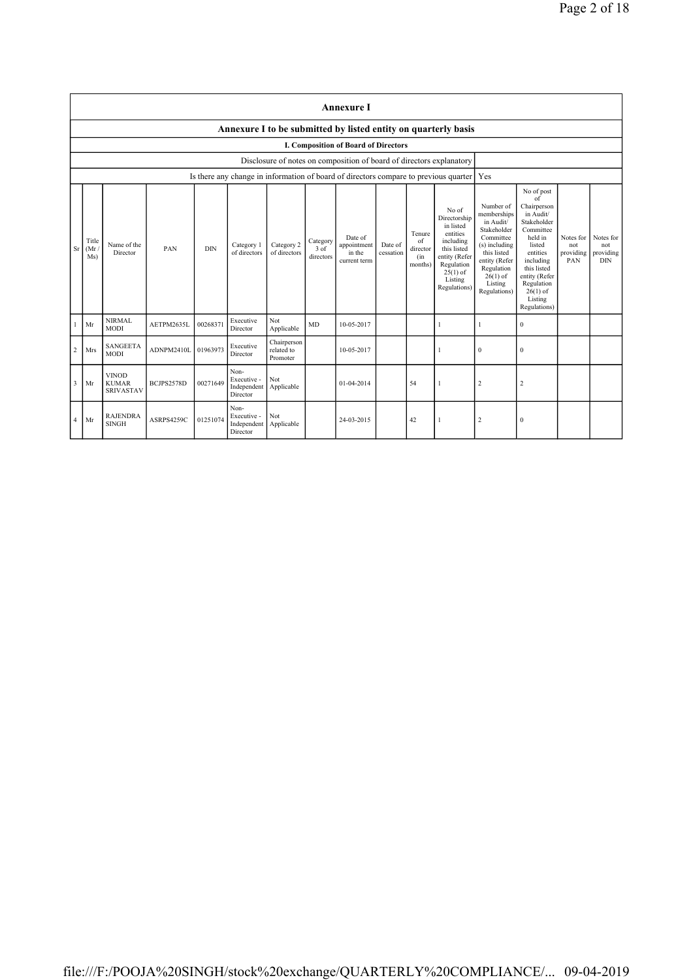|                | <b>Annexure I</b>                                              |                                                  |            |            |                                                |                                       |                                 |                                                                                      |                      |                                            |                                                                                                                                                    |                                                                                                                                                                           |                                                                                                                                                                                                               |                                      |                                             |
|----------------|----------------------------------------------------------------|--------------------------------------------------|------------|------------|------------------------------------------------|---------------------------------------|---------------------------------|--------------------------------------------------------------------------------------|----------------------|--------------------------------------------|----------------------------------------------------------------------------------------------------------------------------------------------------|---------------------------------------------------------------------------------------------------------------------------------------------------------------------------|---------------------------------------------------------------------------------------------------------------------------------------------------------------------------------------------------------------|--------------------------------------|---------------------------------------------|
|                | Annexure I to be submitted by listed entity on quarterly basis |                                                  |            |            |                                                |                                       |                                 |                                                                                      |                      |                                            |                                                                                                                                                    |                                                                                                                                                                           |                                                                                                                                                                                                               |                                      |                                             |
|                |                                                                |                                                  |            |            |                                                |                                       |                                 | I. Composition of Board of Directors                                                 |                      |                                            |                                                                                                                                                    |                                                                                                                                                                           |                                                                                                                                                                                                               |                                      |                                             |
|                |                                                                |                                                  |            |            |                                                |                                       |                                 | Disclosure of notes on composition of board of directors explanatory                 |                      |                                            |                                                                                                                                                    |                                                                                                                                                                           |                                                                                                                                                                                                               |                                      |                                             |
|                |                                                                |                                                  |            |            |                                                |                                       |                                 | Is there any change in information of board of directors compare to previous quarter |                      |                                            |                                                                                                                                                    | Yes                                                                                                                                                                       |                                                                                                                                                                                                               |                                      |                                             |
| Sr             | Title<br>(Mr)<br>Ms)                                           | Name of the<br>Director                          | PAN        | <b>DIN</b> | Category 1<br>of directors                     | Category 2<br>of directors            | Category<br>$3$ of<br>directors | Date of<br>appointment<br>in the<br>current term                                     | Date of<br>cessation | Tenure<br>of<br>director<br>(in<br>months) | No of<br>Directorship<br>in listed<br>entities<br>including<br>this listed<br>entity (Refer<br>Regulation<br>$25(1)$ of<br>Listing<br>Regulations) | Number of<br>memberships<br>in Audit/<br>Stakeholder<br>Committee<br>(s) including<br>this listed<br>entity (Refer<br>Regulation<br>$26(1)$ of<br>Listing<br>Regulations) | No of post<br>of<br>Chairperson<br>in Audit/<br>Stakeholder<br>Committee<br>held in<br>listed<br>entities<br>including<br>this listed<br>entity (Refer<br>Regulation<br>$26(1)$ of<br>Listing<br>Regulations) | Notes for<br>not<br>providing<br>PAN | Notes for<br>not<br>providing<br><b>DIN</b> |
|                | Mr                                                             | <b>NIRMAL</b><br><b>MODI</b>                     | AETPM2635L | 00268371   | Executive<br>Director                          | Not<br>Applicable                     | <b>MD</b>                       | 10-05-2017                                                                           |                      |                                            | 1                                                                                                                                                  | -1                                                                                                                                                                        | $\mathbf{0}$                                                                                                                                                                                                  |                                      |                                             |
| $\overline{c}$ | Mrs                                                            | <b>SANGEETA</b><br><b>MODI</b>                   | ADNPM2410L | 01963973   | Executive<br>Director                          | Chairperson<br>related to<br>Promoter |                                 | 10-05-2017                                                                           |                      |                                            |                                                                                                                                                    | $\mathbf{0}$                                                                                                                                                              | $\mathbf{0}$                                                                                                                                                                                                  |                                      |                                             |
| 3              | Mr                                                             | <b>VINOD</b><br><b>KUMAR</b><br><b>SRIVASTAV</b> | BCJPS2578D | 00271649   | Non-<br>Executive -<br>Independent<br>Director | Not<br>Applicable                     |                                 | 01-04-2014                                                                           |                      | 54                                         | -1                                                                                                                                                 | $\mathfrak{2}$                                                                                                                                                            | $\overline{2}$                                                                                                                                                                                                |                                      |                                             |
| $\overline{4}$ | Mr                                                             | <b>RAJENDRA</b><br><b>SINGH</b>                  | ASRPS4259C | 01251074   | Non-<br>Executive -<br>Independent<br>Director | Not<br>Applicable                     |                                 | 24-03-2015                                                                           |                      | 42                                         |                                                                                                                                                    | $\overline{2}$                                                                                                                                                            | $\mathbf{0}$                                                                                                                                                                                                  |                                      |                                             |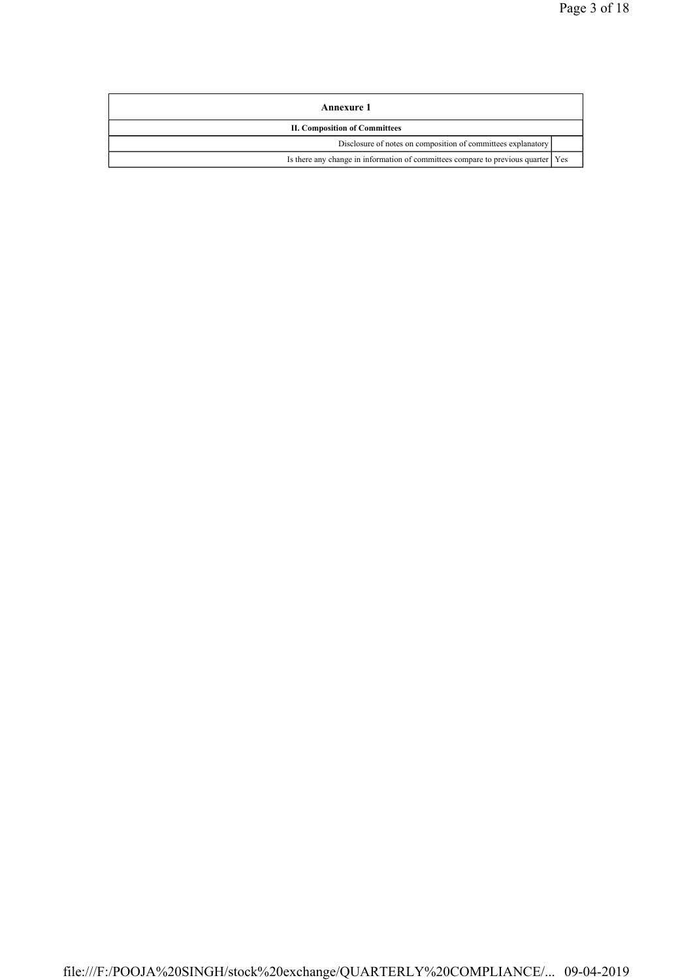| Annexure 1                                                                         |  |
|------------------------------------------------------------------------------------|--|
| <b>II. Composition of Committees</b>                                               |  |
| Disclosure of notes on composition of committees explanatory                       |  |
| Is there any change in information of committees compare to previous quarter   Yes |  |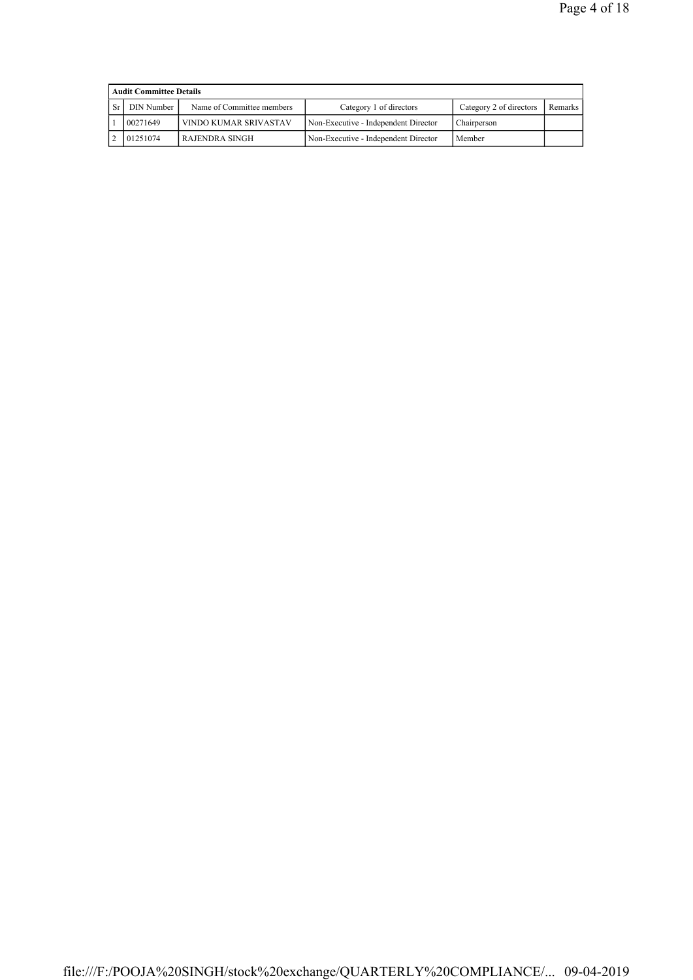| <b>Audit Committee Details</b> |                           |                                      |                         |         |  |  |  |  |  |
|--------------------------------|---------------------------|--------------------------------------|-------------------------|---------|--|--|--|--|--|
| DIN Number                     | Name of Committee members | Category 1 of directors              | Category 2 of directors | Remarks |  |  |  |  |  |
| 00271649                       | VINDO KUMAR SRIVASTAV     | Non-Executive - Independent Director | Chairperson             |         |  |  |  |  |  |
| 01251074                       | RAJENDRA SINGH            | Non-Executive - Independent Director | Member                  |         |  |  |  |  |  |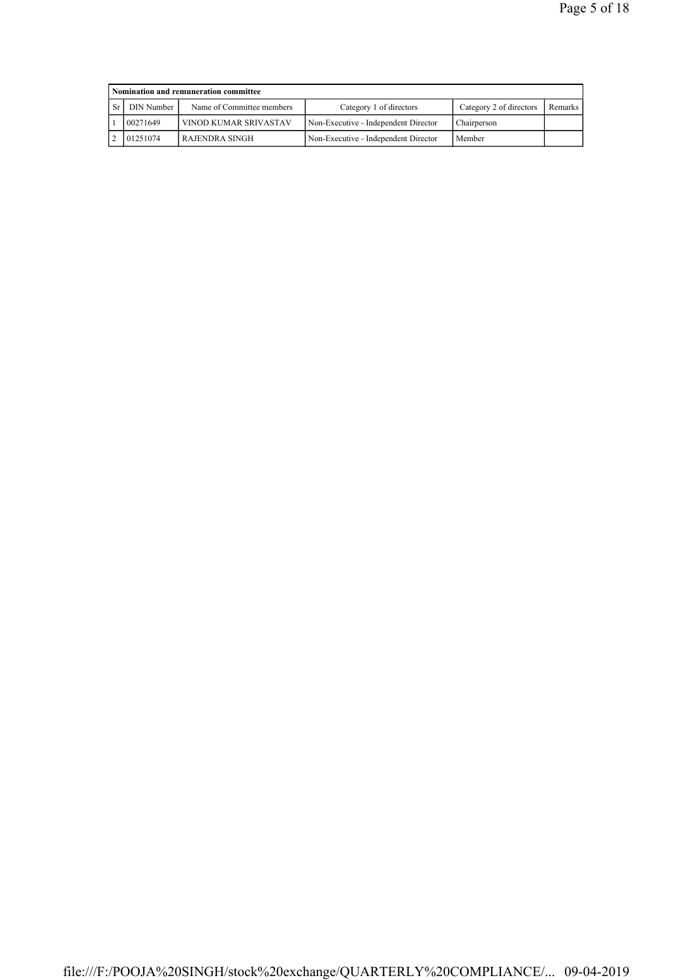| Nomination and remuneration committee |                           |                                      |                         |         |  |  |  |  |  |
|---------------------------------------|---------------------------|--------------------------------------|-------------------------|---------|--|--|--|--|--|
| DIN Number                            | Name of Committee members | Category 1 of directors              | Category 2 of directors | Remarks |  |  |  |  |  |
| 00271649                              | VINOD KUMAR SRIVASTAV     | Non-Executive - Independent Director | Chairperson             |         |  |  |  |  |  |
| 01251074                              | RAJENDRA SINGH            | Non-Executive - Independent Director | Member                  |         |  |  |  |  |  |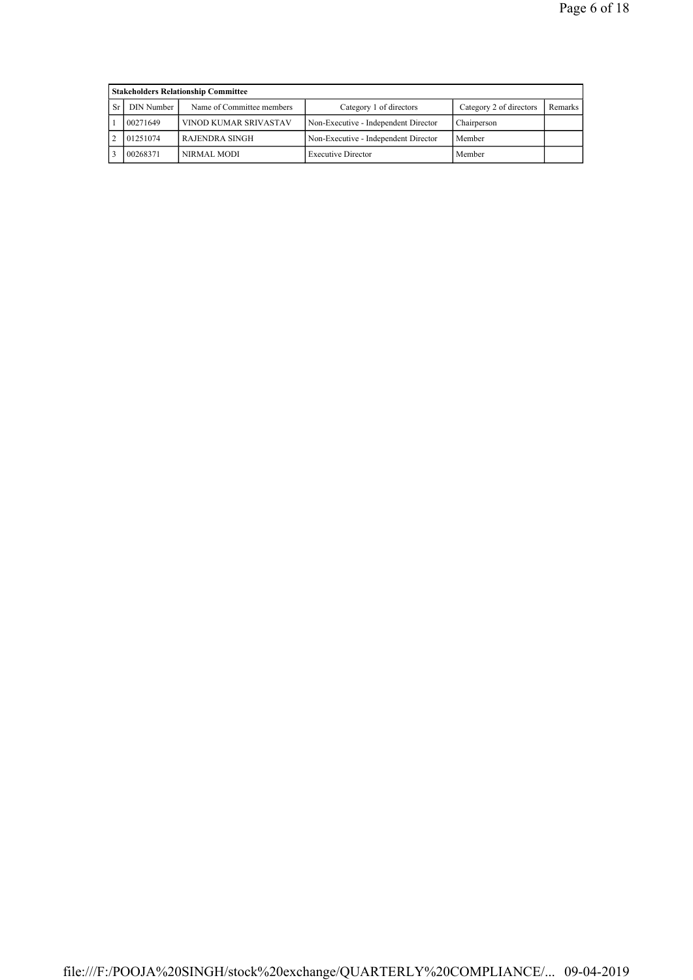| <b>Stakeholders Relationship Committee</b> |                           |                                      |                         |         |  |  |  |  |  |
|--------------------------------------------|---------------------------|--------------------------------------|-------------------------|---------|--|--|--|--|--|
| DIN Number                                 | Name of Committee members | Category 1 of directors              | Category 2 of directors | Remarks |  |  |  |  |  |
| 00271649                                   | VINOD KUMAR SRIVASTAV     | Non-Executive - Independent Director | Chairperson             |         |  |  |  |  |  |
| 01251074<br>RAJENDRA SINGH                 |                           | Non-Executive - Independent Director | Member                  |         |  |  |  |  |  |
| 00268371                                   | NIRMAL MODI               | <b>Executive Director</b>            | Member                  |         |  |  |  |  |  |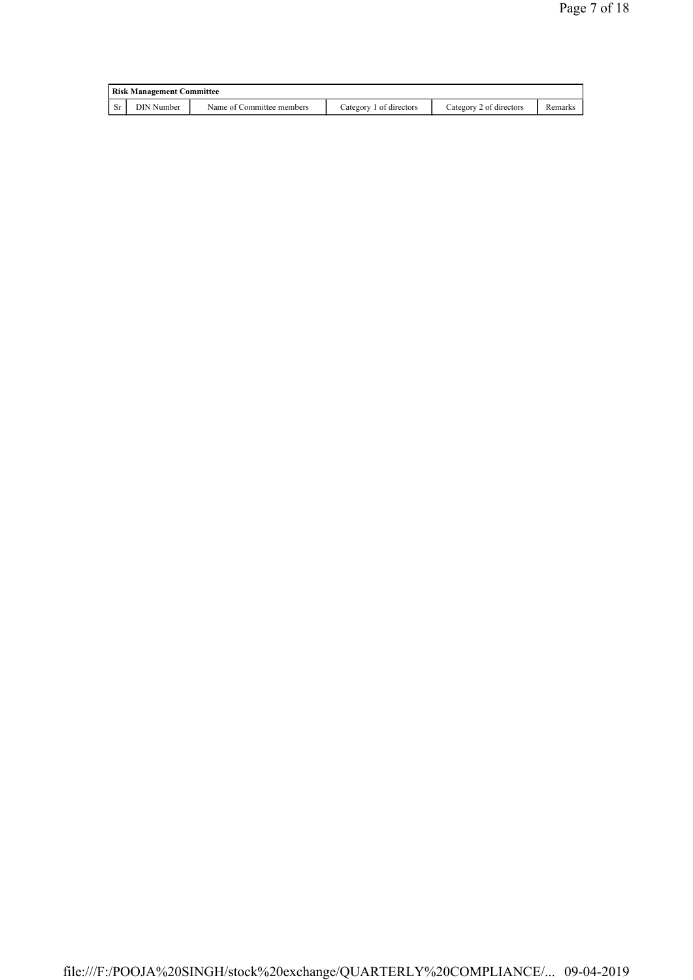|     | <b>Risk Management Committee</b> |                           |                         |                         |         |  |  |  |  |
|-----|----------------------------------|---------------------------|-------------------------|-------------------------|---------|--|--|--|--|
| -Sr | DIN Number                       | Name of Committee members | Category 1 of directors | Category 2 of directors | Remarks |  |  |  |  |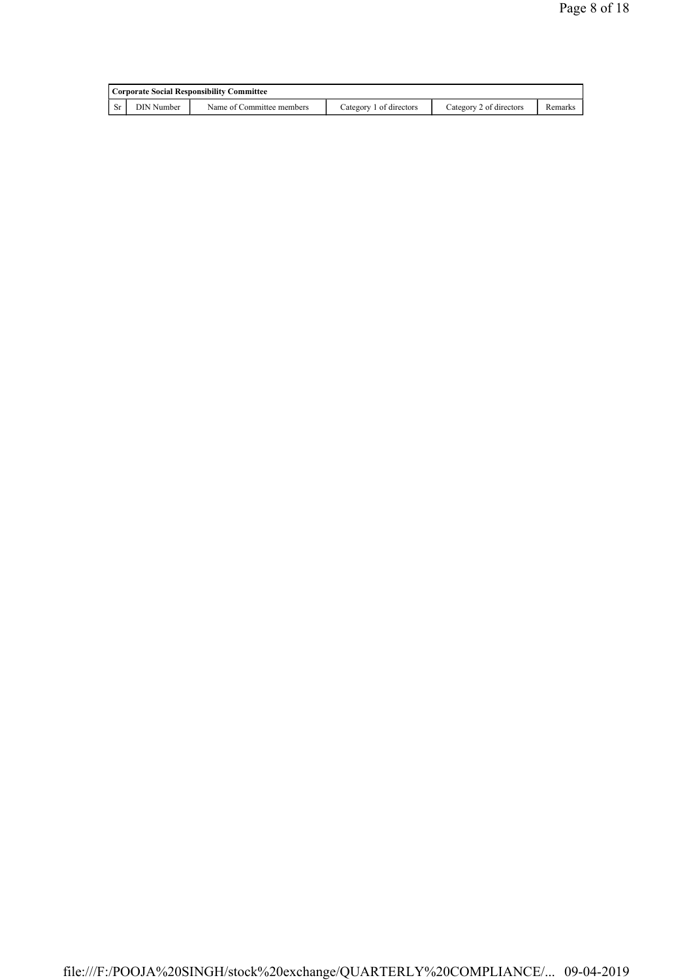|      | Corporate Social Responsibility Committee |                           |                         |                         |         |  |  |  |  |
|------|-------------------------------------------|---------------------------|-------------------------|-------------------------|---------|--|--|--|--|
| - Sr | DIN Number                                | Name of Committee members | Category 1 of directors | Category 2 of directors | Remarks |  |  |  |  |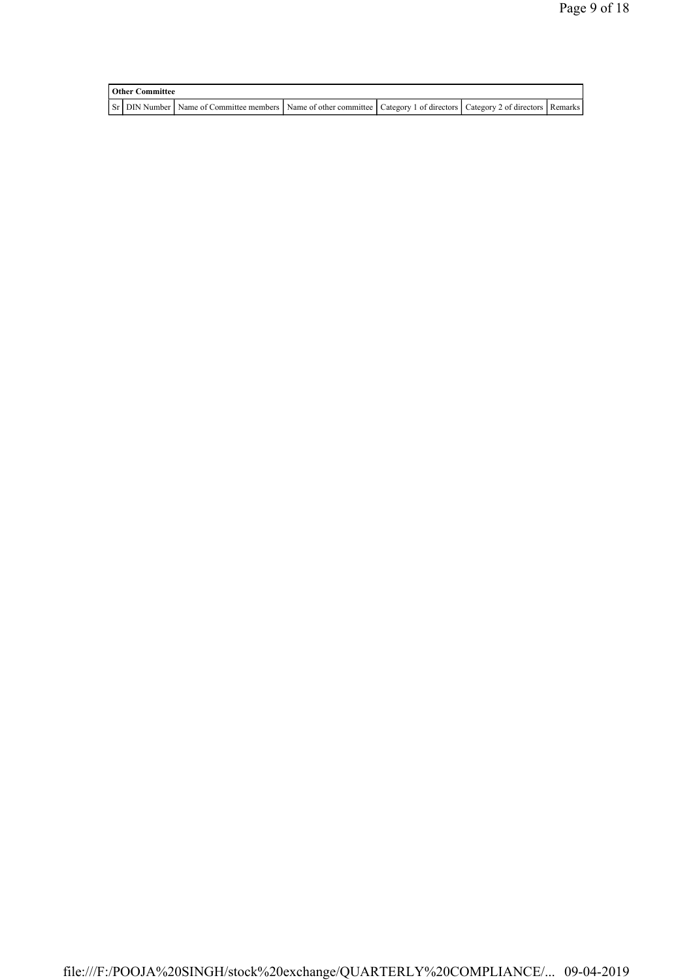| <b>Other Committee</b> |                                                                                                                         |  |  |  |  |  |  |  |
|------------------------|-------------------------------------------------------------------------------------------------------------------------|--|--|--|--|--|--|--|
|                        | Sr DIN Number Name of Committee members Name of other committee Category 1 of directors Category 2 of directors Remarks |  |  |  |  |  |  |  |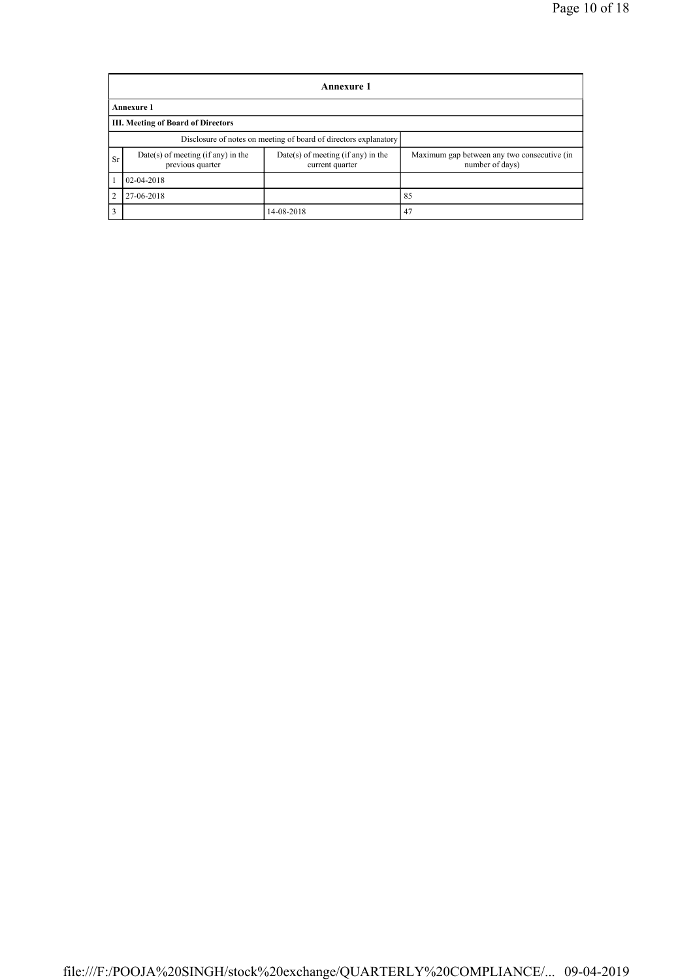|                | Annexure 1                                                       |                                                         |                                                                |  |  |  |  |  |  |  |
|----------------|------------------------------------------------------------------|---------------------------------------------------------|----------------------------------------------------------------|--|--|--|--|--|--|--|
|                | <b>Annexure 1</b>                                                |                                                         |                                                                |  |  |  |  |  |  |  |
|                | <b>III. Meeting of Board of Directors</b>                        |                                                         |                                                                |  |  |  |  |  |  |  |
|                | Disclosure of notes on meeting of board of directors explanatory |                                                         |                                                                |  |  |  |  |  |  |  |
| Sr             | $Date(s)$ of meeting (if any) in the<br>previous quarter         | $Date(s)$ of meeting (if any) in the<br>current quarter | Maximum gap between any two consecutive (in<br>number of days) |  |  |  |  |  |  |  |
| 1              | 02-04-2018                                                       |                                                         |                                                                |  |  |  |  |  |  |  |
| 2              | 27-06-2018                                                       |                                                         | 85                                                             |  |  |  |  |  |  |  |
| $\overline{3}$ |                                                                  | 14-08-2018                                              | 47                                                             |  |  |  |  |  |  |  |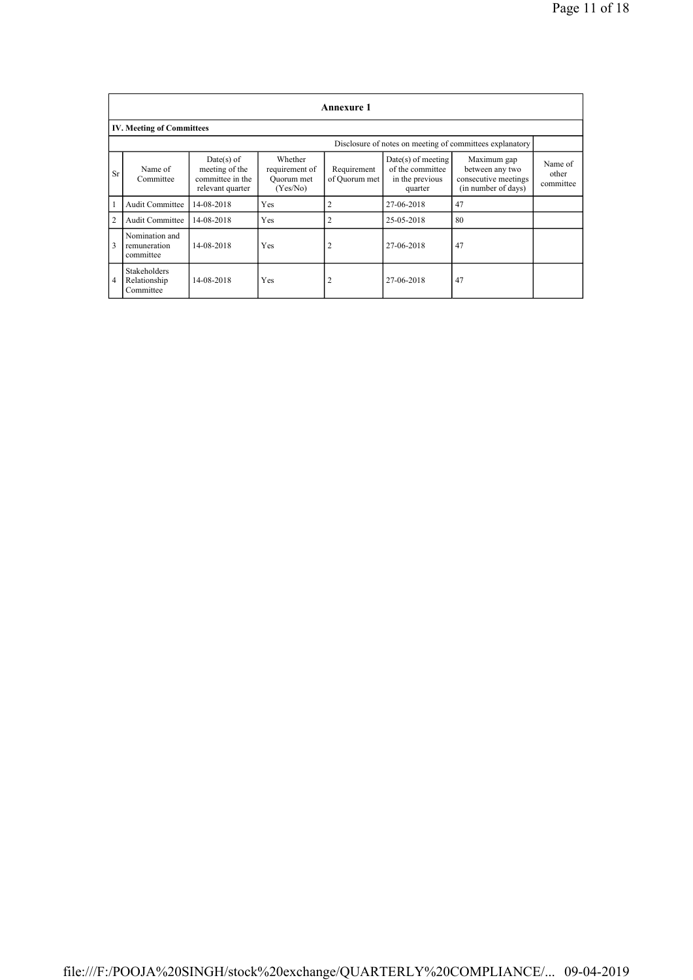|                                  | <b>Annexure 1</b>                                |                                                                        |                                                     |                              |                                                                        |                                                                               |                               |  |  |  |
|----------------------------------|--------------------------------------------------|------------------------------------------------------------------------|-----------------------------------------------------|------------------------------|------------------------------------------------------------------------|-------------------------------------------------------------------------------|-------------------------------|--|--|--|
| <b>IV. Meeting of Committees</b> |                                                  |                                                                        |                                                     |                              |                                                                        |                                                                               |                               |  |  |  |
|                                  |                                                  |                                                                        |                                                     |                              |                                                                        | Disclosure of notes on meeting of committees explanatory                      |                               |  |  |  |
| Sr                               | Name of<br>Committee                             | $Date(s)$ of<br>meeting of the<br>committee in the<br>relevant quarter | Whether<br>requirement of<br>Quorum met<br>(Yes/No) | Requirement<br>of Quorum met | $Date(s)$ of meeting<br>of the committee<br>in the previous<br>quarter | Maximum gap<br>between any two<br>consecutive meetings<br>(in number of days) | Name of<br>other<br>committee |  |  |  |
| 1                                | <b>Audit Committee</b>                           | 14-08-2018                                                             | Yes                                                 | 2                            | 27-06-2018                                                             | 47                                                                            |                               |  |  |  |
| $\overline{2}$                   | <b>Audit Committee</b>                           | 14-08-2018                                                             | Yes                                                 | $\overline{2}$               | 25-05-2018                                                             | 80                                                                            |                               |  |  |  |
| 3                                | Nomination and<br>remuneration<br>committee      | 14-08-2018                                                             | Yes                                                 | 2                            | 27-06-2018                                                             | 47                                                                            |                               |  |  |  |
| $\overline{4}$                   | <b>Stakeholders</b><br>Relationship<br>Committee | 14-08-2018                                                             | Yes                                                 | 2                            | 27-06-2018                                                             | 47                                                                            |                               |  |  |  |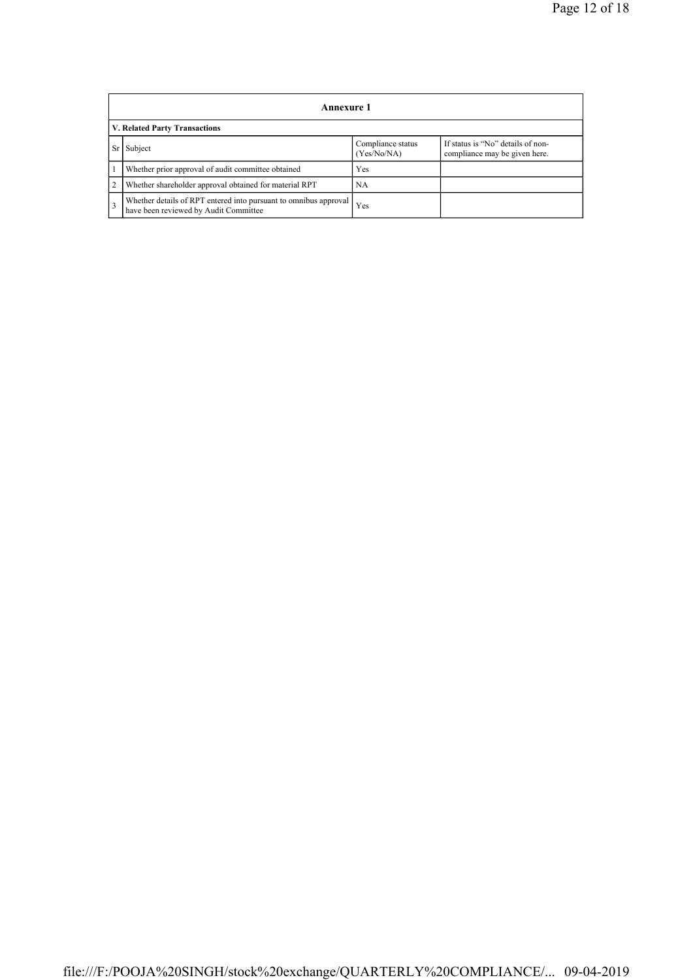|                | <b>Annexure 1</b>                                                                                         |                                  |                                                                    |  |  |  |  |  |
|----------------|-----------------------------------------------------------------------------------------------------------|----------------------------------|--------------------------------------------------------------------|--|--|--|--|--|
|                | V. Related Party Transactions                                                                             |                                  |                                                                    |  |  |  |  |  |
| Sr             | Subject                                                                                                   | Compliance status<br>(Yes/No/NA) | If status is "No" details of non-<br>compliance may be given here. |  |  |  |  |  |
|                | Whether prior approval of audit committee obtained                                                        | Yes                              |                                                                    |  |  |  |  |  |
| $\overline{2}$ | Whether shareholder approval obtained for material RPT                                                    | NA                               |                                                                    |  |  |  |  |  |
| $\overline{3}$ | Whether details of RPT entered into pursuant to omnibus approval<br>have been reviewed by Audit Committee | Yes                              |                                                                    |  |  |  |  |  |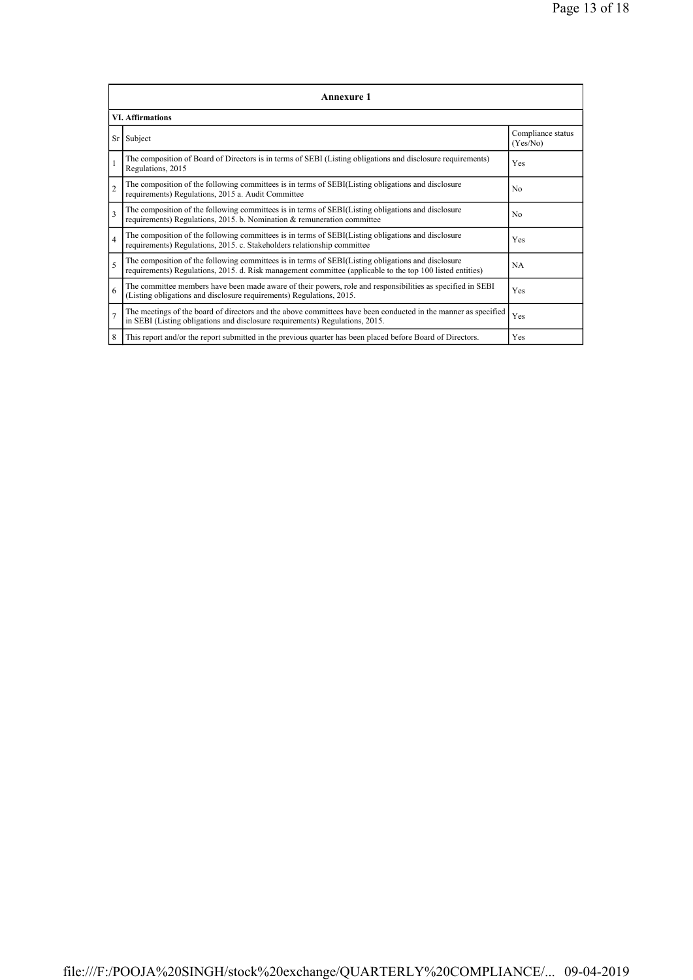| <b>Annexure 1</b>        |                                                                                                                                                                                                                 |                               |  |  |
|--------------------------|-----------------------------------------------------------------------------------------------------------------------------------------------------------------------------------------------------------------|-------------------------------|--|--|
| <b>VI. Affirmations</b>  |                                                                                                                                                                                                                 |                               |  |  |
| Sr                       | Subject                                                                                                                                                                                                         | Compliance status<br>(Yes/No) |  |  |
| $\mathbf{1}$             | The composition of Board of Directors is in terms of SEBI (Listing obligations and disclosure requirements)<br>Regulations, 2015                                                                                | Yes                           |  |  |
| $\overline{2}$           | The composition of the following committees is in terms of SEBI(Listing obligations and disclosure<br>requirements) Regulations, 2015 a. Audit Committee                                                        | No                            |  |  |
| $\overline{\mathbf{3}}$  | The composition of the following committees is in terms of SEBI(Listing obligations and disclosure<br>requirements) Regulations, 2015. b. Nomination & remuneration committee                                   | N <sub>0</sub>                |  |  |
| $\overline{4}$           | The composition of the following committees is in terms of SEBI(Listing obligations and disclosure<br>requirements) Regulations, 2015. c. Stakeholders relationship committee                                   | Yes                           |  |  |
| $\overline{\phantom{0}}$ | The composition of the following committees is in terms of SEBI(Listing obligations and disclosure<br>requirements) Regulations, 2015. d. Risk management committee (applicable to the top 100 listed entities) | <b>NA</b>                     |  |  |
| 6                        | The committee members have been made aware of their powers, role and responsibilities as specified in SEBI<br>(Listing obligations and disclosure requirements) Regulations, 2015.                              | Yes                           |  |  |
| $\overline{7}$           | The meetings of the board of directors and the above committees have been conducted in the manner as specified<br>in SEBI (Listing obligations and disclosure requirements) Regulations, 2015.                  | Yes                           |  |  |
| 8                        | This report and/or the report submitted in the previous quarter has been placed before Board of Directors.                                                                                                      | Yes                           |  |  |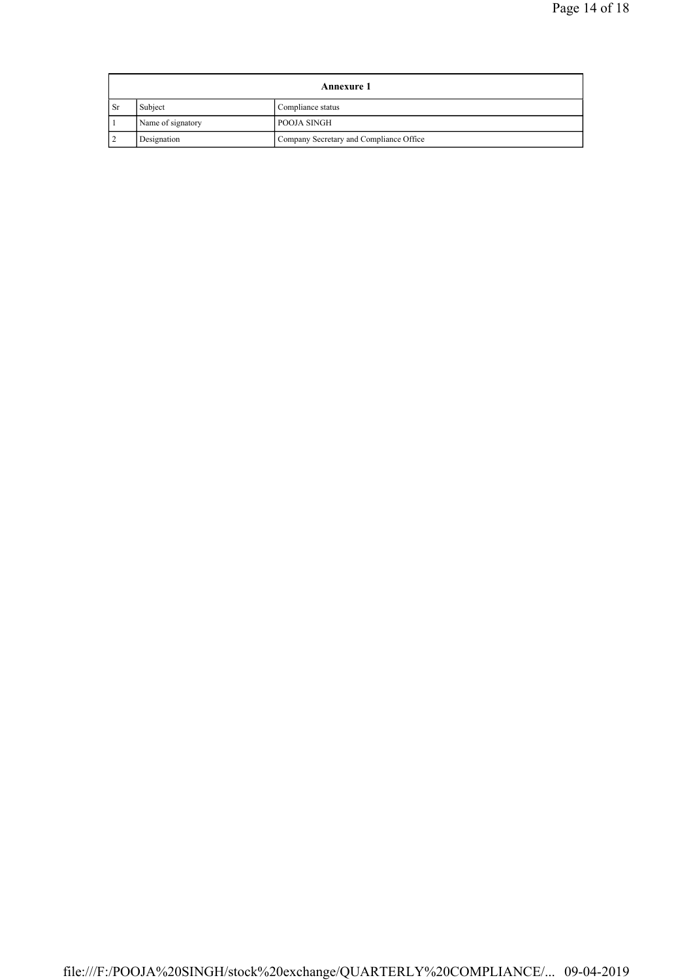| <b>Annexure 1</b> |                   |                                         |  |
|-------------------|-------------------|-----------------------------------------|--|
| - Sr              | Subject           | Compliance status                       |  |
|                   | Name of signatory | POOJA SINGH                             |  |
|                   | Designation       | Company Secretary and Compliance Office |  |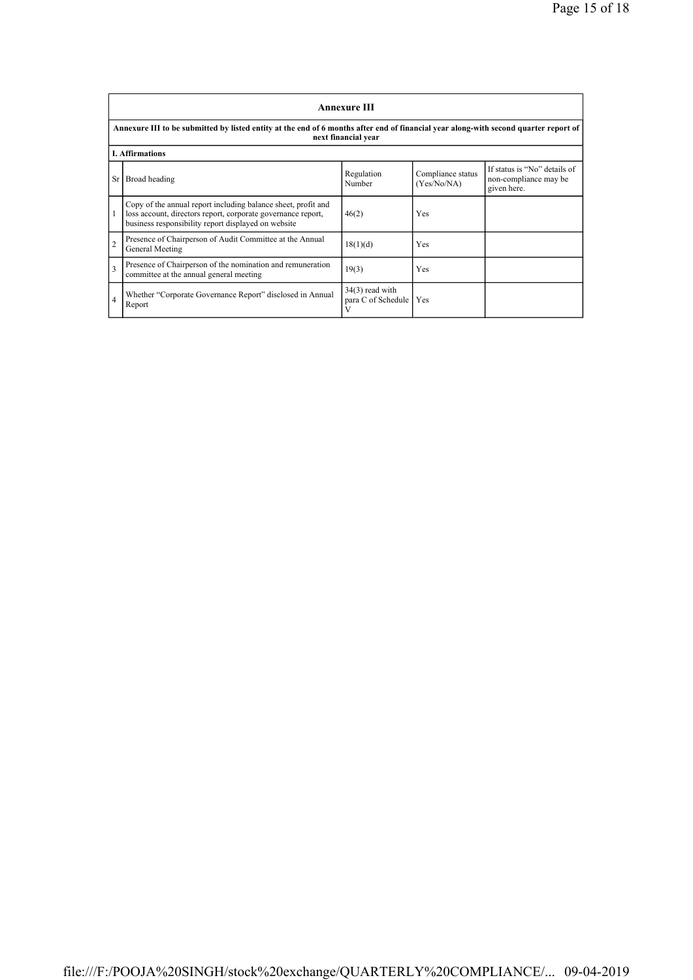|                                                                                                                                                             | <b>Annexure III</b>                                                                                                                                                                  |                                              |                                  |                                                                      |  |  |
|-------------------------------------------------------------------------------------------------------------------------------------------------------------|--------------------------------------------------------------------------------------------------------------------------------------------------------------------------------------|----------------------------------------------|----------------------------------|----------------------------------------------------------------------|--|--|
| Annexure III to be submitted by listed entity at the end of 6 months after end of financial year along-with second quarter report of<br>next financial year |                                                                                                                                                                                      |                                              |                                  |                                                                      |  |  |
|                                                                                                                                                             | <b>I. Affirmations</b>                                                                                                                                                               |                                              |                                  |                                                                      |  |  |
| Sr                                                                                                                                                          | Broad heading                                                                                                                                                                        | Regulation<br>Number                         | Compliance status<br>(Yes/No/NA) | If status is "No" details of<br>non-compliance may be<br>given here. |  |  |
|                                                                                                                                                             | Copy of the annual report including balance sheet, profit and<br>loss account, directors report, corporate governance report,<br>business responsibility report displayed on website | 46(2)                                        | Yes                              |                                                                      |  |  |
| $\overline{2}$                                                                                                                                              | Presence of Chairperson of Audit Committee at the Annual<br>General Meeting                                                                                                          | 18(1)(d)                                     | Yes                              |                                                                      |  |  |
| 3                                                                                                                                                           | Presence of Chairperson of the nomination and remuneration<br>committee at the annual general meeting                                                                                | 19(3)                                        | Yes                              |                                                                      |  |  |
| $\overline{4}$                                                                                                                                              | Whether "Corporate Governance Report" disclosed in Annual<br>Report                                                                                                                  | $34(3)$ read with<br>para C of Schedule<br>V | Yes                              |                                                                      |  |  |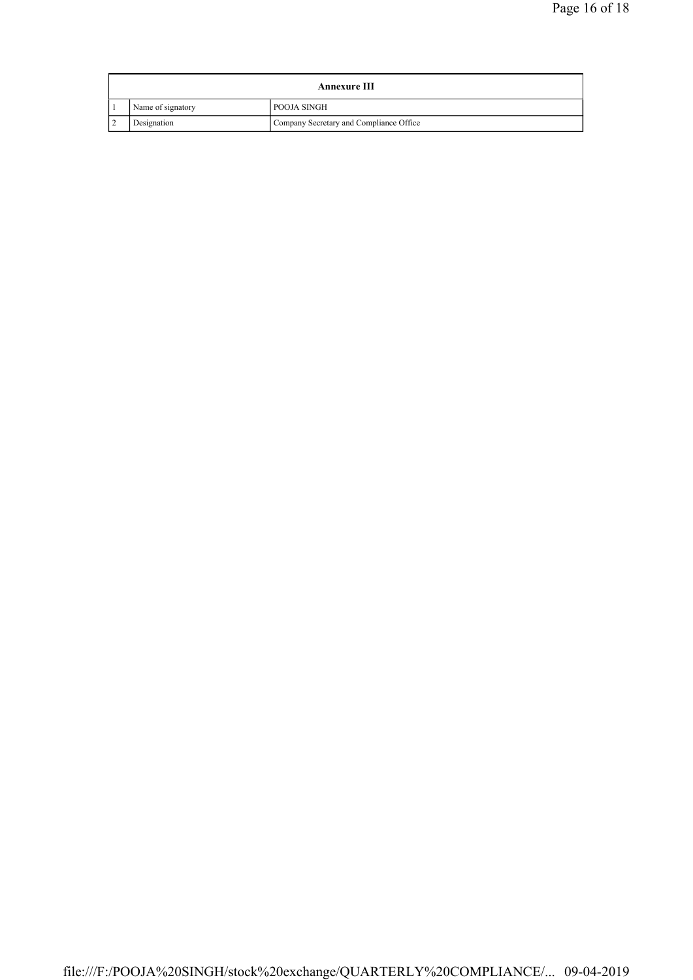| <b>Annexure III</b>      |                   |                                         |
|--------------------------|-------------------|-----------------------------------------|
|                          | Name of signatory | POOJA SINGH                             |
| $\overline{\phantom{a}}$ | Designation       | Company Secretary and Compliance Office |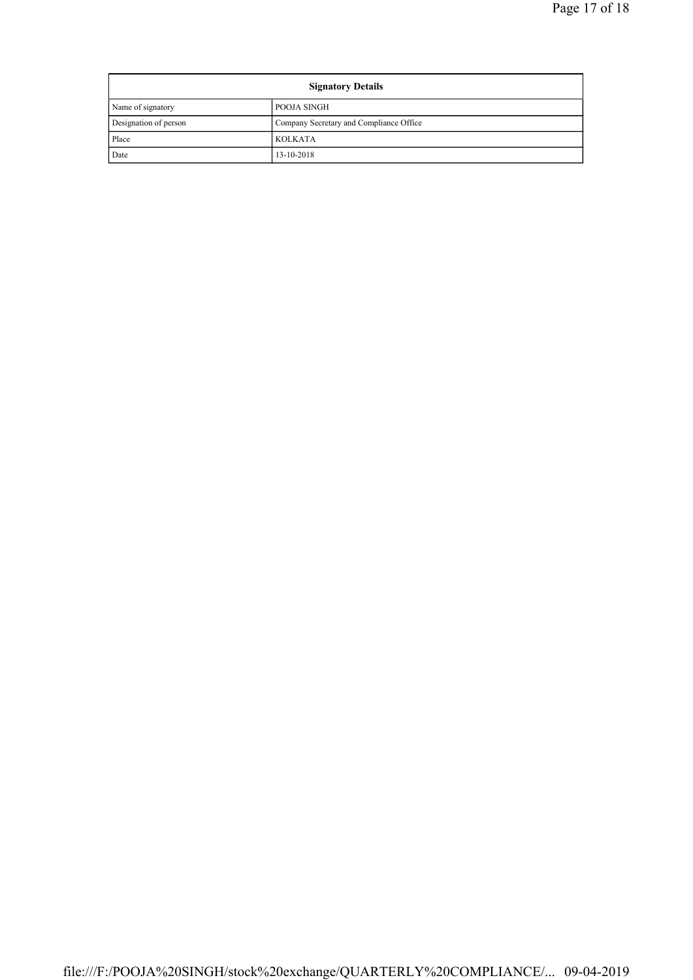| <b>Signatory Details</b> |                                         |  |
|--------------------------|-----------------------------------------|--|
| Name of signatory        | POOJA SINGH                             |  |
| Designation of person    | Company Secretary and Compliance Office |  |
| Place                    | <b>KOLKATA</b>                          |  |
| Date                     | 13-10-2018                              |  |